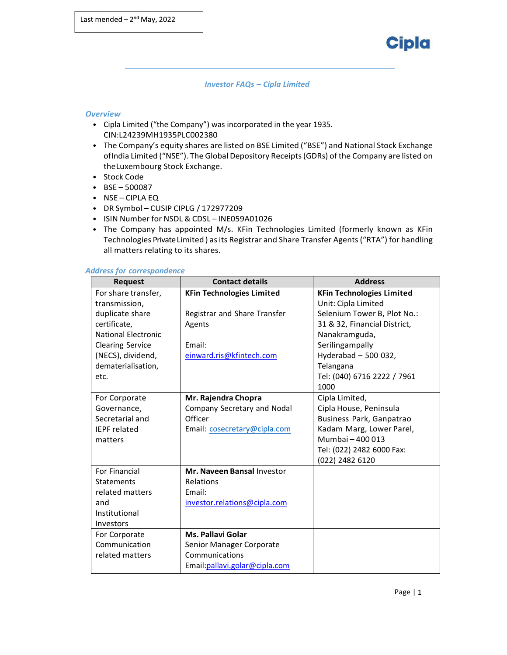

*Investor FAQs – Cipla Limited*

### *Overview*

- Cipla Limited ("the Company") was incorporated in the year 1935. CIN:L24239MH1935PLC002380
- The Company's equity shares are listed on BSE Limited ("BSE") and National Stock Exchange ofIndia Limited ("NSE"). The Global Depository Receipts(GDRs) of the Company are listed on theLuxembourg Stock Exchange.
- Stock Code
- BSE 500087
- NSE CIPLA EQ
- DR Symbol CUSIP CIPLG / 172977209
- ISIN Number for NSDL & CDSL INE059A01026
- The Company has appointed M/s. KFin Technologies Limited (formerly known as KFin Technologies PrivateLimited ) asits Registrar and Share Transfer Agents("RTA") for handling all matters relating to its shares.

#### *Address for correspondence*

| <b>Request</b>             | <b>Contact details</b>           | <b>Address</b>                   |
|----------------------------|----------------------------------|----------------------------------|
| For share transfer,        | <b>KFin Technologies Limited</b> | <b>KFin Technologies Limited</b> |
| transmission,              |                                  | Unit: Cipla Limited              |
| duplicate share            | Registrar and Share Transfer     | Selenium Tower B, Plot No.:      |
| certificate,               | Agents                           | 31 & 32, Financial District,     |
| <b>National Electronic</b> |                                  | Nanakramguda,                    |
| <b>Clearing Service</b>    | Email:                           | Serilingampally                  |
| (NECS), dividend,          | einward.ris@kfintech.com         | Hyderabad - 500 032,             |
| dematerialisation,         |                                  | Telangana                        |
| etc.                       |                                  | Tel: (040) 6716 2222 / 7961      |
|                            |                                  | 1000                             |
| For Corporate              | Mr. Rajendra Chopra              | Cipla Limited,                   |
| Governance,                | Company Secretary and Nodal      | Cipla House, Peninsula           |
| Secretarial and            | Officer                          | Business Park, Ganpatrao         |
| <b>IEPF</b> related        | Email: cosecretary@cipla.com     | Kadam Marg, Lower Parel,         |
| matters                    |                                  | Mumbai - 400 013                 |
|                            |                                  | Tel: (022) 2482 6000 Fax:        |
|                            |                                  | (022) 2482 6120                  |
| For Financial              | Mr. Naveen Bansal Investor       |                                  |
| Statements                 | Relations                        |                                  |
| related matters            | Email:                           |                                  |
| and                        | investor.relations@cipla.com     |                                  |
| Institutional              |                                  |                                  |
| Investors                  |                                  |                                  |
| For Corporate              | <b>Ms. Pallavi Golar</b>         |                                  |
| Communication              | Senior Manager Corporate         |                                  |
| related matters            | Communications                   |                                  |
|                            | Email: pallavi.golar@cipla.com   |                                  |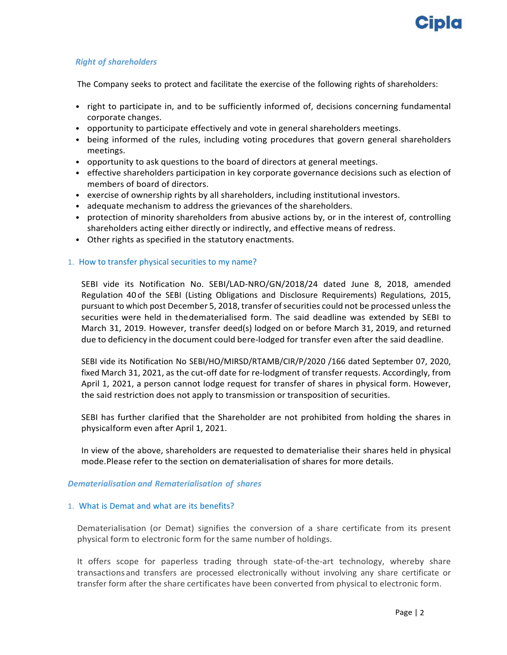

## *Right of shareholders*

The Company seeks to protect and facilitate the exercise of the following rights of shareholders:

- right to participate in, and to be sufficiently informed of, decisions concerning fundamental corporate changes.
- opportunity to participate effectively and vote in general shareholders meetings.
- being informed of the rules, including voting procedures that govern general shareholders meetings.
- opportunity to ask questions to the board of directors at general meetings.
- effective shareholders participation in key corporate governance decisions such as election of members of board of directors.
- exercise of ownership rights by all shareholders, including institutional investors.
- adequate mechanism to address the grievances of the shareholders.
- protection of minority shareholders from abusive actions by, or in the interest of, controlling shareholders acting either directly or indirectly, and effective means of redress.
- Other rights as specified in the statutory enactments.

### 1. How to transfer physical securities to my name?

SEBI vide its Notification No. SEBI/LAD‐NRO/GN/2018/24 dated June 8, 2018, amended Regulation 40 of the SEBI (Listing Obligations and Disclosure Requirements) Regulations, 2015, pursuant to which post December 5, 2018, transfer of securities could not be processed unless the securities were held in thedematerialised form. The said deadline was extended by SEBI to March 31, 2019. However, transfer deed(s) lodged on or before March 31, 2019, and returned due to deficiency in the document could bere‐lodged for transfer even after the said deadline.

SEBI vide its Notification No SEBI/HO/MIRSD/RTAMB/CIR/P/2020 /166 dated September 07, 2020, fixed March 31, 2021, as the cut-off date for re-lodgment of transfer requests. Accordingly, from April 1, 2021, a person cannot lodge request for transfer of shares in physical form. However, the said restriction does not apply to transmission or transposition of securities.

SEBI has further clarified that the Shareholder are not prohibited from holding the shares in physicalform even after April 1, 2021.

In view of the above, shareholders are requested to dematerialise their shares held in physical mode.Please refer to the section on dematerialisation of shares for more details.

### *Dematerialisation and Rematerialisation of shares*

### 1. What is Demat and what are its benefits?

Dematerialisation (or Demat) signifies the conversion of a share certificate from its present physical form to electronic form for the same number of holdings.

It offers scope for paperless trading through state-of-the-art technology, whereby share transactions and transfers are processed electronically without involving any share certificate or transfer form after the share certificates have been converted from physical to electronic form.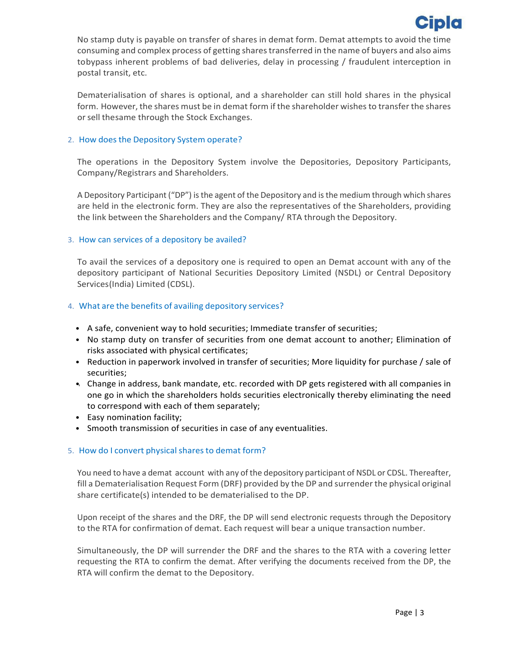

No stamp duty is payable on transfer of shares in demat form. Demat attempts to avoid the time consuming and complex process of getting sharestransferred in the name of buyers and also aims tobypass inherent problems of bad deliveries, delay in processing / fraudulent interception in postal transit, etc.

Dematerialisation of shares is optional, and a shareholder can still hold shares in the physical form. However, the shares must be in demat form if the shareholder wishes to transfer the shares or sell thesame through the Stock Exchanges.

### 2. How does the Depository System operate?

The operations in the Depository System involve the Depositories, Depository Participants, Company/Registrars and Shareholders.

A Depository Participant ("DP") isthe agent of the Depository and isthe medium through which shares are held in the electronic form. They are also the representatives of the Shareholders, providing the link between the Shareholders and the Company/ RTA through the Depository.

### 3. How can services of a depository be availed?

To avail the services of a depository one is required to open an Demat account with any of the depository participant of National Securities Depository Limited (NSDL) or Central Depository Services(India) Limited (CDSL).

### 4. What are the benefits of availing depository services?

- A safe, convenient way to hold securities; Immediate transfer of securities;
- No stamp duty on transfer of securities from one demat account to another; Elimination of risks associated with physical certificates;
- Reduction in paperwork involved in transfer of securities; More liquidity for purchase / sale of securities;
- Change in address, bank mandate, etc. recorded with DP gets registered with all companies in one go in which the shareholders holds securities electronically thereby eliminating the need to correspond with each of them separately;
- Easy nomination facility;
- Smooth transmission of securities in case of any eventualities.

### 5. How do I convert physical shares to demat form?

You need to have a demat account with any of the depository participant of NSDL or CDSL. Thereafter, fill a Dematerialisation Request Form (DRF) provided by the DP and surrender the physical original share certificate(s) intended to be dematerialised to the DP.

Upon receipt of the shares and the DRF, the DP will send electronic requests through the Depository to the RTA for confirmation of demat. Each request will bear a unique transaction number.

Simultaneously, the DP will surrender the DRF and the shares to the RTA with a covering letter requesting the RTA to confirm the demat. After verifying the documents received from the DP, the RTA will confirm the demat to the Depository.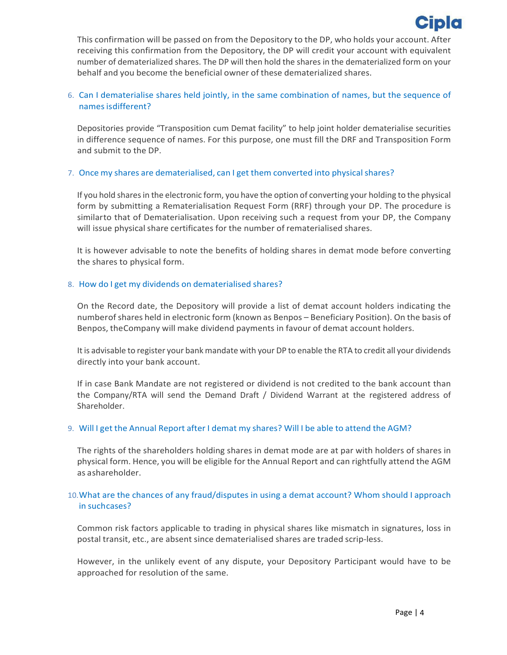

This confirmation will be passed on from the Depository to the DP, who holds your account. After receiving this confirmation from the Depository, the DP will credit your account with equivalent number of dematerialized shares. The DP will then hold the shares in the dematerialized form on your behalf and you become the beneficial owner of these dematerialized shares.

# 6. Can I dematerialise shares held jointly, in the same combination of names, but the sequence of names is different?

Depositories provide "Transposition cum Demat facility" to help joint holder dematerialise securities in difference sequence of names. For this purpose, one must fill the DRF and Transposition Form and submit to the DP.

# 7. Once my shares are dematerialised, can I get them converted into physical shares?

If you hold shares in the electronic form, you have the option of converting your holding to the physical form by submitting a Rematerialisation Request Form (RRF) through your DP. The procedure is similarto that of Dematerialisation. Upon receiving such a request from your DP, the Company will issue physical share certificates for the number of rematerialised shares.

It is however advisable to note the benefits of holding shares in demat mode before converting the shares to physical form.

# 8. How do I get my dividends on dematerialised shares?

On the Record date, the Depository will provide a list of demat account holders indicating the numberofshares held in electronic form (known as Benpos – Beneficiary Position). On the basis of Benpos, theCompany will make dividend payments in favour of demat account holders.

It is advisable to register your bank mandate with your DP to enable the RTA to credit all your dividends directly into your bank account.

If in case Bank Mandate are not registered or dividend is not credited to the bank account than the Company/RTA will send the Demand Draft / Dividend Warrant at the registered address of Shareholder.

## 9. Will I get the Annual Report after I demat my shares? Will I be able to attend the AGM?

The rights of the shareholders holding shares in demat mode are at par with holders of shares in physical form. Hence, you will be eligible for the Annual Report and can rightfully attend the AGM as ashareholder.

# 10.What are the chances of any fraud/disputes in using a demat account? Whom should I approach in suchcases?

Common risk factors applicable to trading in physical shares like mismatch in signatures, loss in postal transit, etc., are absent since dematerialised shares are traded scrip‐less.

However, in the unlikely event of any dispute, your Depository Participant would have to be approached for resolution of the same.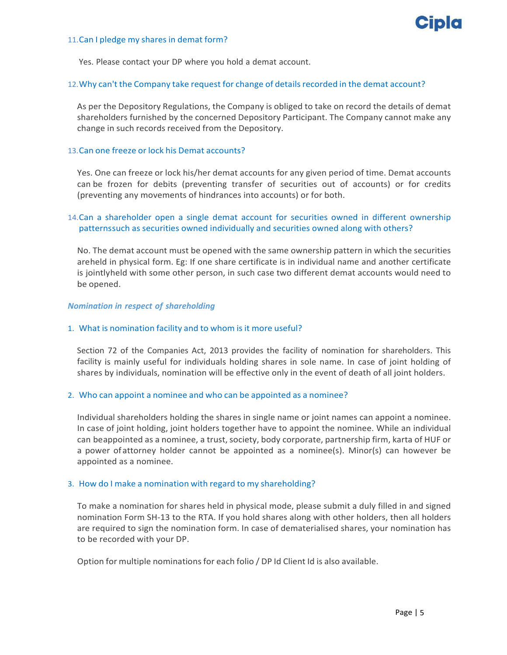

#### 11.Can I pledge my shares in demat form?

Yes. Please contact your DP where you hold a demat account.

### 12. Why can't the Company take request for change of details recorded in the demat account?

As per the Depository Regulations, the Company is obliged to take on record the details of demat shareholders furnished by the concerned Depository Participant. The Company cannot make any change in such records received from the Depository.

### 13.Can one freeze or lock his Demat accounts?

Yes. One can freeze or lock his/her demat accounts for any given period of time. Demat accounts can be frozen for debits (preventing transfer of securities out of accounts) or for credits (preventing any movements of hindrances into accounts) or for both.

# 14.Can a shareholder open a single demat account for securities owned in different ownership patternssuch as securities owned individually and securities owned along with others?

No. The demat account must be opened with the same ownership pattern in which the securities areheld in physical form. Eg: If one share certificate is in individual name and another certificate is jointlyheld with some other person, in such case two different demat accounts would need to be opened.

### *Nomination in respect of shareholding*

### 1. What is nomination facility and to whom is it more useful?

Section 72 of the Companies Act, 2013 provides the facility of nomination for shareholders. This facility is mainly useful for individuals holding shares in sole name. In case of joint holding of shares by individuals, nomination will be effective only in the event of death of all joint holders.

## 2. Who can appoint a nominee and who can be appointed as a nominee?

Individual shareholders holding the shares in single name or joint names can appoint a nominee. In case of joint holding, joint holders together have to appoint the nominee. While an individual can beappointed as a nominee, a trust, society, body corporate, partnership firm, karta of HUF or a power ofattorney holder cannot be appointed as a nominee(s). Minor(s) can however be appointed as a nominee.

## 3. How do I make a nomination with regard to my shareholding?

To make a nomination for shares held in physical mode, please submit a duly filled in and signed nomination Form SH‐13 to the RTA. If you hold shares along with other holders, then all holders are required to sign the nomination form. In case of dematerialised shares, your nomination has to be recorded with your DP.

Option for multiple nominations for each folio / DP Id Client Id is also available.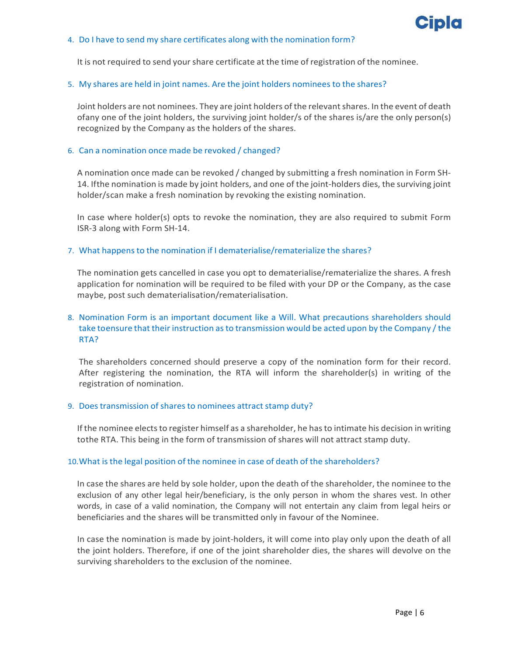

### 4. Do I have to send my share certificates along with the nomination form?

It is not required to send your share certificate at the time of registration of the nominee.

### 5. My shares are held in joint names. Are the joint holders nominees to the shares?

Joint holders are not nominees. They are joint holders of the relevant shares. In the event of death ofany one of the joint holders, the surviving joint holder/s of the shares is/are the only person(s) recognized by the Company as the holders of the shares.

### 6. Can a nomination once made be revoked / changed?

A nomination once made can be revoked / changed by submitting a fresh nomination in Form SH‐ 14. If the nomination is made by joint holders, and one of the joint-holders dies, the surviving joint holder/scan make a fresh nomination by revoking the existing nomination.

In case where holder(s) opts to revoke the nomination, they are also required to submit Form ISR‐3 along with Form SH‐14.

### 7. What happens to the nomination if I dematerialise/rematerialize the shares?

The nomination gets cancelled in case you opt to dematerialise/rematerialize the shares. A fresh application for nomination will be required to be filed with your DP or the Company, as the case maybe, post such dematerialisation/rematerialisation.

# 8. Nomination Form is an important document like a Will. What precautions shareholders should take toensure that their instruction asto transmission would be acted upon by the Company /the RTA?

The shareholders concerned should preserve a copy of the nomination form for their record. After registering the nomination, the RTA will inform the shareholder(s) in writing of the registration of nomination.

### 9. Does transmission of shares to nominees attract stamp duty?

If the nominee elects to register himself as a shareholder, he has to intimate his decision in writing tothe RTA. This being in the form of transmission of shares will not attract stamp duty.

### 10.What isthe legal position of the nominee in case of death of the shareholders?

In case the shares are held by sole holder, upon the death of the shareholder, the nominee to the exclusion of any other legal heir/beneficiary, is the only person in whom the shares vest. In other words, in case of a valid nomination, the Company will not entertain any claim from legal heirs or beneficiaries and the shares will be transmitted only in favour of the Nominee.

In case the nomination is made by joint-holders, it will come into play only upon the death of all the joint holders. Therefore, if one of the joint shareholder dies, the shares will devolve on the surviving shareholders to the exclusion of the nominee.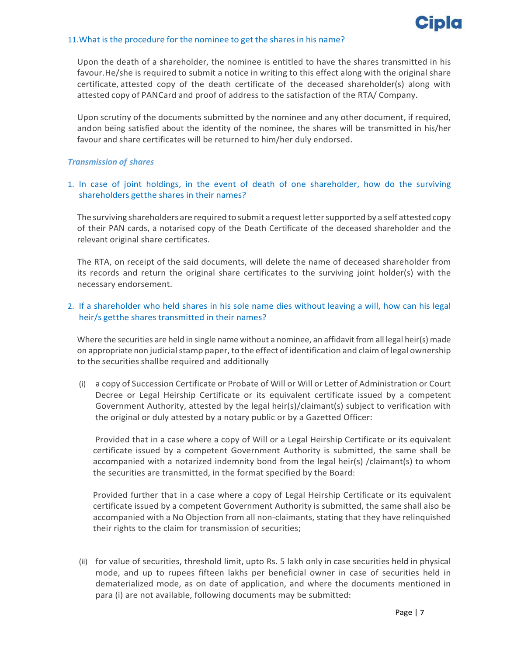

#### 11. What is the procedure for the nominee to get the shares in his name?

Upon the death of a shareholder, the nominee is entitled to have the shares transmitted in his favour.He/she is required to submit a notice in writing to this effect along with the original share certificate, attested copy of the death certificate of the deceased shareholder(s) along with attested copy of PANCard and proof of address to the satisfaction of the RTA/ Company.

Upon scrutiny of the documents submitted by the nominee and any other document, if required, andon being satisfied about the identity of the nominee, the shares will be transmitted in his/her favour and share certificates will be returned to him/her duly endorsed.

### *Transmission of shares*

# 1. In case of joint holdings, in the event of death of one shareholder, how do the surviving shareholders getthe shares in their names?

The surviving shareholders are required to submit a request letter supported by a self attested copy of their PAN cards, a notarised copy of the Death Certificate of the deceased shareholder and the relevant original share certificates.

The RTA, on receipt of the said documents, will delete the name of deceased shareholder from its records and return the original share certificates to the surviving joint holder(s) with the necessary endorsement.

## 2. If a shareholder who held shares in his sole name dies without leaving a will, how can his legal heir/s getthe shares transmitted in their names?

Where the securities are held in single name without a nominee, an affidavit from all legal heir(s) made on appropriate non judicial stamp paper, to the effect of identification and claim of legal ownership to the securities shallbe required and additionally

(i) a copy of Succession Certificate or Probate of Will or Will or Letter of Administration or Court Decree or Legal Heirship Certificate or its equivalent certificate issued by a competent Government Authority, attested by the legal heir(s)/claimant(s) subject to verification with the original or duly attested by a notary public or by a Gazetted Officer:

Provided that in a case where a copy of Will or a Legal Heirship Certificate or its equivalent certificate issued by a competent Government Authority is submitted, the same shall be accompanied with a notarized indemnity bond from the legal heir(s) /claimant(s) to whom the securities are transmitted, in the format specified by the Board:

Provided further that in a case where a copy of Legal Heirship Certificate or its equivalent certificate issued by a competent Government Authority is submitted, the same shall also be accompanied with a No Objection from all non-claimants, stating that they have relinquished their rights to the claim for transmission of securities;

(ii) for value of securities, threshold limit, upto Rs. 5 lakh only in case securities held in physical mode, and up to rupees fifteen lakhs per beneficial owner in case of securities held in dematerialized mode, as on date of application, and where the documents mentioned in para (i) are not available, following documents may be submitted: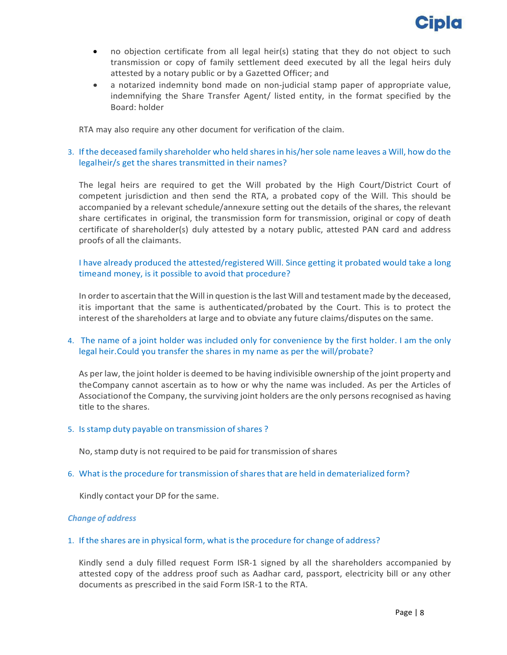

- no objection certificate from all legal heir(s) stating that they do not object to such transmission or copy of family settlement deed executed by all the legal heirs duly attested by a notary public or by a Gazetted Officer; and
- a notarized indemnity bond made on non‐judicial stamp paper of appropriate value, indemnifying the Share Transfer Agent/ listed entity, in the format specified by the Board: holder

RTA may also require any other document for verification of the claim.

# 3. If the deceased family shareholder who held sharesin his/hersole name leaves a Will, how do the legalheir/s get the shares transmitted in their names?

The legal heirs are required to get the Will probated by the High Court/District Court of competent jurisdiction and then send the RTA, a probated copy of the Will. This should be accompanied by a relevant schedule/annexure setting out the details of the shares, the relevant share certificates in original, the transmission form for transmission, original or copy of death certificate of shareholder(s) duly attested by a notary public, attested PAN card and address proofs of all the claimants.

# I have already produced the attested/registered Will. Since getting it probated would take a long timeand money, is it possible to avoid that procedure?

In order to ascertain that the Will in question is the last Will and testament made by the deceased, itis important that the same is authenticated/probated by the Court. This is to protect the interest of the shareholders at large and to obviate any future claims/disputes on the same.

# 4. The name of a joint holder was included only for convenience by the first holder. I am the only legal heir.Could you transfer the shares in my name as per the will/probate?

As per law, the joint holder is deemed to be having indivisible ownership of the joint property and theCompany cannot ascertain as to how or why the name was included. As per the Articles of Associationof the Company, the surviving joint holders are the only persons recognised as having title to the shares.

## 5. Isstamp duty payable on transmission of shares ?

No, stamp duty is not required to be paid for transmission of shares

## 6. What is the procedure for transmission of shares that are held in dematerialized form?

Kindly contact your DP for the same.

### *Change of address*

### 1. If the shares are in physical form, what isthe procedure for change of address?

Kindly send a duly filled request Form ISR‐1 signed by all the shareholders accompanied by attested copy of the address proof such as Aadhar card, passport, electricity bill or any other documents as prescribed in the said Form ISR‐1 to the RTA.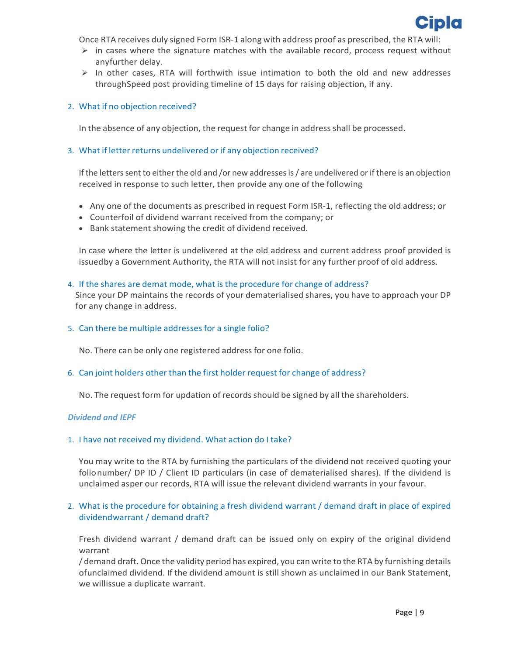

Once RTA receives duly signed Form ISR‐1 along with address proof as prescribed, the RTA will:

- $\triangleright$  in cases where the signature matches with the available record, process request without anyfurther delay.
- $\triangleright$  In other cases, RTA will forthwith issue intimation to both the old and new addresses throughSpeed post providing timeline of 15 days for raising objection, if any.

### 2. What if no objection received?

In the absence of any objection, the request for change in addressshall be processed.

### 3. What if letter returns undelivered or if any objection received?

If the letters sent to either the old and /or new addresses is / are undelivered or if there is an objection received in response to such letter, then provide any one of the following

- Any one of the documents as prescribed in request Form ISR-1, reflecting the old address; or
- Counterfoil of dividend warrant received from the company; or
- Bank statement showing the credit of dividend received.

In case where the letter is undelivered at the old address and current address proof provided is issuedby a Government Authority, the RTA will not insist for any further proof of old address.

#### 4. If the shares are demat mode, what is the procedure for change of address?

Since your DP maintains the records of your dematerialised shares, you have to approach your DP for any change in address.

### 5. Can there be multiple addresses for a single folio?

No. There can be only one registered address for one folio.

### 6. Can joint holders other than the first holder request for change of address?

No. The request form for updation of recordsshould be signed by all the shareholders.

### *Dividend and IEPF*

### 1. I have not received my dividend. What action do I take?

You may write to the RTA by furnishing the particulars of the dividend not received quoting your folionumber/ DP ID / Client ID particulars (in case of dematerialised shares). If the dividend is unclaimed asper our records, RTA will issue the relevant dividend warrants in your favour.

## 2. What is the procedure for obtaining a fresh dividend warrant / demand draft in place of expired dividendwarrant / demand draft?

Fresh dividend warrant / demand draft can be issued only on expiry of the original dividend warrant

/ demand draft.Once the validity period has expired, you can write to the RTA by furnishing details ofunclaimed dividend. If the dividend amount is still shown as unclaimed in our Bank Statement, we willissue a duplicate warrant.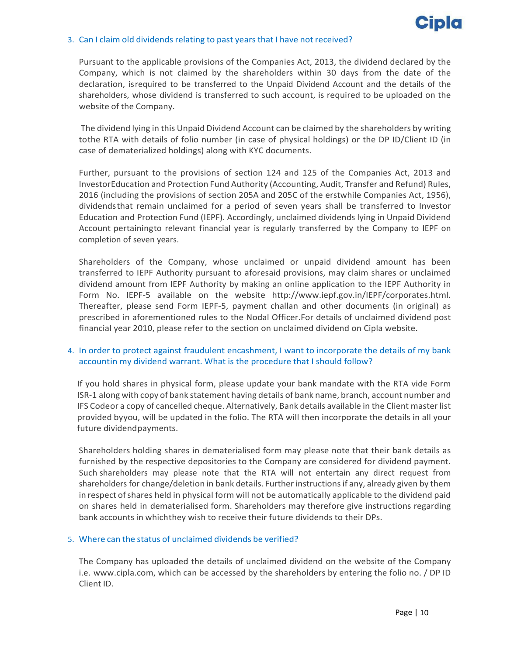

### 3. Can I claim old dividends relating to past years that I have not received?

Pursuant to the applicable provisions of the Companies Act, 2013, the dividend declared by the Company, which is not claimed by the shareholders within 30 days from the date of the declaration, isrequired to be transferred to the Unpaid Dividend Account and the details of the shareholders, whose dividend is transferred to such account, is required to be uploaded on the website of the Company.

The dividend lying in this Unpaid Dividend Account can be claimed by the shareholders by writing tothe RTA with details of folio number (in case of physical holdings) or the DP ID/Client ID (in case of dematerialized holdings) along with KYC documents.

Further, pursuant to the provisions of section 124 and 125 of the Companies Act, 2013 and InvestorEducation and Protection Fund Authority (Accounting, Audit, Transfer and Refund) Rules, 2016 (including the provisions of section 205A and 205C of the erstwhile Companies Act, 1956), dividendsthat remain unclaimed for a period of seven years shall be transferred to Investor Education and Protection Fund (IEPF). Accordingly, unclaimed dividends lying in Unpaid Dividend Account pertainingto relevant financial year is regularly transferred by the Company to IEPF on completion of seven years.

Shareholders of the Company, whose unclaimed or unpaid dividend amount has been transferred to IEPF Authority pursuant to aforesaid provisions, may claim shares or unclaimed dividend amount from IEPF Authority by making an online application to the IEPF Authority in Form No. IEPF‐5 available on the website http://www.iepf.gov.in/IEPF/corporates.html. Thereafter, please send Form IEPF‐5, payment challan and other documents (in original) as prescribed in aforementioned rules to the Nodal Officer.For details of unclaimed dividend post financial year 2010, please refer to the section on unclaimed dividend on Cipla website.

# 4. In order to protect against fraudulent encashment, I want to incorporate the details of my bank accountin my dividend warrant. What is the procedure that I should follow?

If you hold shares in physical form, please update your bank mandate with the RTA vide Form ISR‐1 along with copy of bank statement having details of bank name, branch, account number and IFS Codeor a copy of cancelled cheque. Alternatively, Bank details available in the Client master list provided byyou, will be updated in the folio. The RTA will then incorporate the details in all your future dividendpayments.

Shareholders holding shares in dematerialised form may please note that their bank details as furnished by the respective depositories to the Company are considered for dividend payment. Such shareholders may please note that the RTA will not entertain any direct request from shareholders for change/deletion in bank details. Further instructionsif any, already given by them in respect of shares held in physical form will not be automatically applicable to the dividend paid on shares held in dematerialised form. Shareholders may therefore give instructions regarding bank accounts in whichthey wish to receive their future dividends to their DPs.

## 5. Where can the status of unclaimed dividends be verified?

The Company has uploaded the details of unclaimed dividend on the website of the Company i.e. www.cipla.com, which can be accessed by the shareholders by entering the folio no. / DP ID Client ID.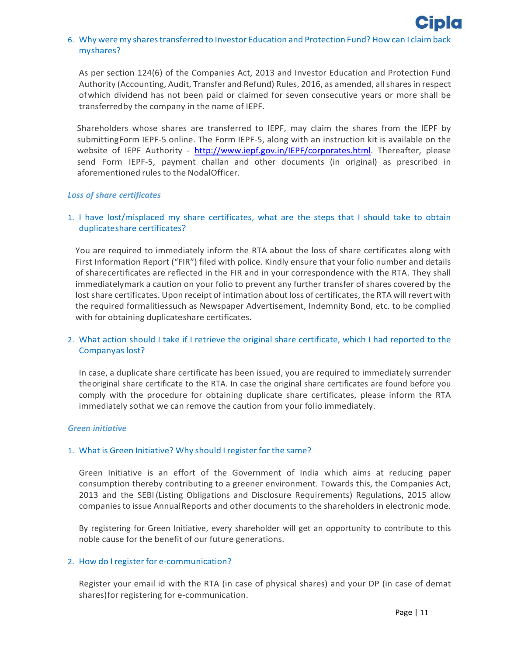# 6. Why were my shares transferred to Investor Education and Protection Fund? How can I claim back myshares?

As per section 124(6) of the Companies Act, 2013 and Investor Education and Protection Fund Authority (Accounting, Audit, Transfer and Refund) Rules, 2016, as amended, all shares in respect ofwhich dividend has not been paid or claimed for seven consecutive years or more shall be transferredby the company in the name of IEPF.

Shareholders whose shares are transferred to IEPF, may claim the shares from the IEPF by submittingForm IEPF‐5 online. The Form IEPF‐5, along with an instruction kit is available on the website of IEPF Authority - http://www.iepf.gov.in/IEPF/corporates.html. Thereafter, please send Form IEPF‐5, payment challan and other documents (in original) as prescribed in aforementioned rules to the NodalOfficer.

### *Loss of share certificates*

## 1. I have lost/misplaced my share certificates, what are the steps that I should take to obtain duplicateshare certificates?

You are required to immediately inform the RTA about the loss of share certificates along with First Information Report ("FIR") filed with police. Kindly ensure that your folio number and details of sharecertificates are reflected in the FIR and in your correspondence with the RTA. They shall immediatelymark a caution on your folio to prevent any further transfer of shares covered by the lost share certificates. Upon receipt of intimation about loss of certificates, the RTA will revert with the required formalitiessuch as Newspaper Advertisement, Indemnity Bond, etc. to be complied with for obtaining duplicateshare certificates.

# 2. What action should I take if I retrieve the original share certificate, which I had reported to the Companyas lost?

In case, a duplicate share certificate has been issued, you are required to immediately surrender theoriginal share certificate to the RTA. In case the original share certificates are found before you comply with the procedure for obtaining duplicate share certificates, please inform the RTA immediately sothat we can remove the caution from your folio immediately.

### *Green initiative*

## 1. What is Green Initiative? Why should I register for the same?

Green Initiative is an effort of the Government of India which aims at reducing paper consumption thereby contributing to a greener environment. Towards this, the Companies Act, 2013 and the SEBI(Listing Obligations and Disclosure Requirements) Regulations, 2015 allow companiesto issue AnnualReports and other documents to the shareholders in electronic mode.

By registering for Green Initiative, every shareholder will get an opportunity to contribute to this noble cause for the benefit of our future generations.

## 2. How do I register for e-communication?

Register your email id with the RTA (in case of physical shares) and your DP (in case of demat shares)for registering for e‐communication.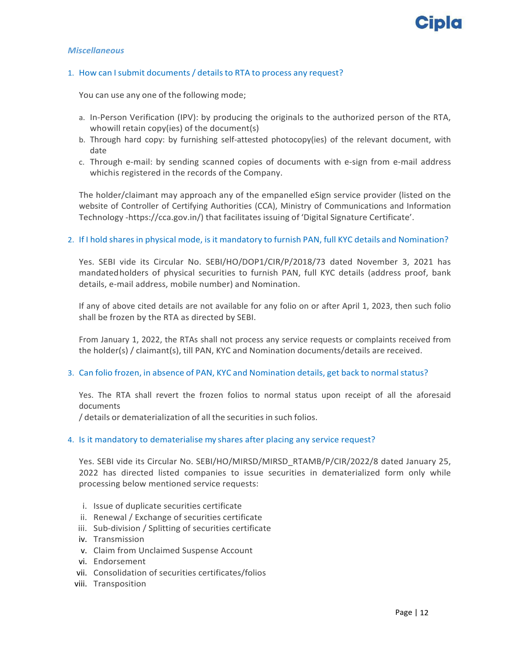

#### *Miscellaneous*

### 1. How can Isubmit documents / details to RTA to process any request?

You can use any one of the following mode;

- a. In-Person Verification (IPV): by producing the originals to the authorized person of the RTA, whowill retain copy(ies) of the document(s)
- b. Through hard copy: by furnishing self‐attested photocopy(ies) of the relevant document, with date
- c. Through e‐mail: by sending scanned copies of documents with e‐sign from e‐mail address whichis registered in the records of the Company.

The holder/claimant may approach any of the empanelled eSign service provider (listed on the website of Controller of Certifying Authorities (CCA), Ministry of Communications and Information Technology ‐https://cca.gov.in/) that facilitates issuing of 'Digital Signature Certificate'.

### 2. If I hold sharesin physical mode, is it mandatory to furnish PAN, full KYC details and Nomination?

Yes. SEBI vide its Circular No. SEBI/HO/DOP1/CIR/P/2018/73 dated November 3, 2021 has mandatedholders of physical securities to furnish PAN, full KYC details (address proof, bank details, e‐mail address, mobile number) and Nomination.

If any of above cited details are not available for any folio on or after April 1, 2023, then such folio shall be frozen by the RTA as directed by SEBI.

From January 1, 2022, the RTAs shall not process any service requests or complaints received from the holder(s) / claimant(s), till PAN, KYC and Nomination documents/details are received.

### 3. Can folio frozen, in absence of PAN, KYC and Nomination details, get back to normalstatus?

Yes. The RTA shall revert the frozen folios to normal status upon receipt of all the aforesaid documents

/ details or dematerialization of all the securities in such folios.

### 4. Is it mandatory to dematerialise my shares after placing any service request?

Yes. SEBI vide its Circular No. SEBI/HO/MIRSD/MIRSD\_RTAMB/P/CIR/2022/8 dated January 25, 2022 has directed listed companies to issue securities in dematerialized form only while processing below mentioned service requests:

- i. Issue of duplicate securities certificate
- ii. Renewal / Exchange of securities certificate
- iii. Sub‐division / Splitting of securities certificate
- iv. Transmission
- v. Claim from Unclaimed Suspense Account
- vi. Endorsement
- vii. Consolidation of securities certificates/folios
- viii. Transposition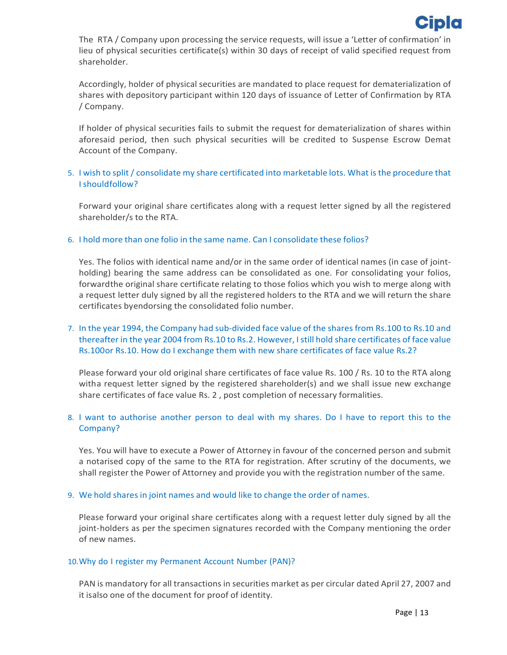

The RTA / Company upon processing the service requests, will issue a 'Letter of confirmation' in lieu of physical securities certificate(s) within 30 days of receipt of valid specified request from shareholder.

Accordingly, holder of physical securities are mandated to place request for dematerialization of shares with depository participant within 120 days of issuance of Letter of Confirmation by RTA / Company.

If holder of physical securities fails to submit the request for dematerialization of shares within aforesaid period, then such physical securities will be credited to Suspense Escrow Demat Account of the Company.

## 5. I wish to split / consolidate my share certificated into marketable lots. What is the procedure that Ishouldfollow?

Forward your original share certificates along with a request letter signed by all the registered shareholder/s to the RTA.

### 6. I hold more than one folio in the same name. Can I consolidate these folios?

Yes. The folios with identical name and/or in the same order of identical names (in case of joint‐ holding) bearing the same address can be consolidated as one. For consolidating your folios, forwardthe original share certificate relating to those folios which you wish to merge along with a request letter duly signed by all the registered holders to the RTA and we will return the share certificates byendorsing the consolidated folio number.

# 7. In the year 1994, the Company had sub‐divided face value of the shares from Rs.100 to Rs.10 and thereafter in the year 2004 from Rs.10 to Rs.2. However, Istill hold share certificates of face value Rs.100or Rs.10. How do I exchange them with new share certificates of face value Rs.2?

Please forward your old original share certificates of face value Rs. 100 / Rs. 10 to the RTA along witha request letter signed by the registered shareholder(s) and we shall issue new exchange share certificates of face value Rs. 2 , post completion of necessary formalities.

# 8. I want to authorise another person to deal with my shares. Do I have to report this to the Company?

Yes. You will have to execute a Power of Attorney in favour of the concerned person and submit a notarised copy of the same to the RTA for registration. After scrutiny of the documents, we shall register the Power of Attorney and provide you with the registration number of the same.

### 9. We hold shares in joint names and would like to change the order of names.

Please forward your original share certificates along with a request letter duly signed by all the joint-holders as per the specimen signatures recorded with the Company mentioning the order of new names.

### 10.Why do I register my Permanent Account Number (PAN)?

PAN is mandatory for all transactions in securities market as per circular dated April 27, 2007 and it isalso one of the document for proof of identity.